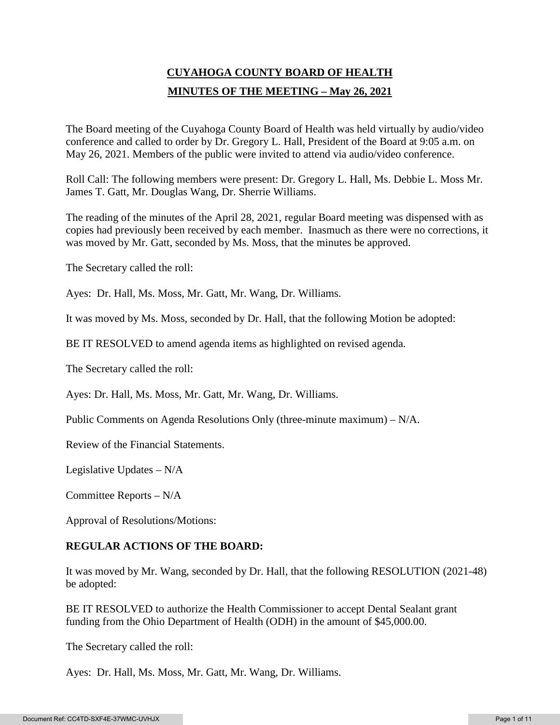# **CUYAHOGA COUNTY BOARD OF HEALTH MINUTES OF THE MEETING – May 26, 2021**

The Board meeting of the Cuyahoga County Board of Health was held virtually by audio/video conference and called to order by Dr. Gregory L. Hall, President of the Board at 9:05 a.m. on May 26, 2021. Members of the public were invited to attend via audio/video conference.

Roll Call: The following members were present: Dr. Gregory L. Hall, Ms. Debbie L. Moss Mr. James T. Gatt, Mr. Douglas Wang, Dr. Sherrie Williams.

The reading of the minutes of the April 28, 2021, regular Board meeting was dispensed with as copies had previously been received by each member. Inasmuch as there were no corrections, it was moved by Mr. Gatt, seconded by Ms. Moss, that the minutes be approved.

The Secretary called the roll:

Ayes: Dr. Hall, Ms. Moss, Mr. Gatt, Mr. Wang, Dr. Williams.

It was moved by Ms. Moss, seconded by Dr. Hall, that the following Motion be adopted:

BE IT RESOLVED to amend agenda items as highlighted on revised agenda.

The Secretary called the roll:

Ayes: Dr. Hall, Ms. Moss, Mr. Gatt, Mr. Wang, Dr. Williams.

Public Comments on Agenda Resolutions Only (three-minute maximum) – N/A.

Review of the Financial Statements.

Legislative Updates – N/A

Committee Reports – N/A

Approval of Resolutions/Motions:

## **REGULAR ACTIONS OF THE BOARD:**

It was moved by Mr. Wang, seconded by Dr. Hall, that the following RESOLUTION (2021-48) be adopted:

BE IT RESOLVED to authorize the Health Commissioner to accept Dental Sealant grant funding from the Ohio Department of Health (ODH) in the amount of \$45,000.00.

The Secretary called the roll:

Ayes: Dr. Hall, Ms. Moss, Mr. Gatt, Mr. Wang, Dr. Williams.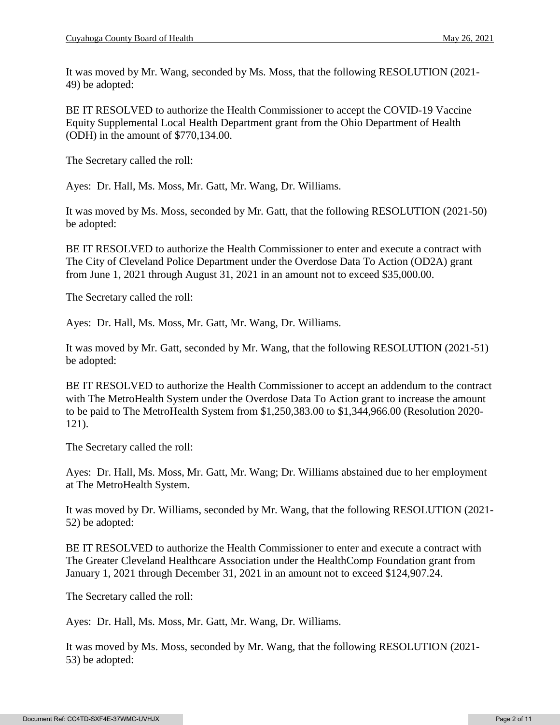It was moved by Mr. Wang, seconded by Ms. Moss, that the following RESOLUTION (2021- 49) be adopted:

BE IT RESOLVED to authorize the Health Commissioner to accept the COVID-19 Vaccine Equity Supplemental Local Health Department grant from the Ohio Department of Health (ODH) in the amount of \$770,134.00.

The Secretary called the roll:

Ayes: Dr. Hall, Ms. Moss, Mr. Gatt, Mr. Wang, Dr. Williams.

It was moved by Ms. Moss, seconded by Mr. Gatt, that the following RESOLUTION (2021-50) be adopted:

BE IT RESOLVED to authorize the Health Commissioner to enter and execute a contract with The City of Cleveland Police Department under the Overdose Data To Action (OD2A) grant from June 1, 2021 through August 31, 2021 in an amount not to exceed \$35,000.00.

The Secretary called the roll:

Ayes: Dr. Hall, Ms. Moss, Mr. Gatt, Mr. Wang, Dr. Williams.

It was moved by Mr. Gatt, seconded by Mr. Wang, that the following RESOLUTION (2021-51) be adopted:

BE IT RESOLVED to authorize the Health Commissioner to accept an addendum to the contract with The MetroHealth System under the Overdose Data To Action grant to increase the amount to be paid to The MetroHealth System from \$1,250,383.00 to \$1,344,966.00 (Resolution 2020- 121).

The Secretary called the roll:

Ayes: Dr. Hall, Ms. Moss, Mr. Gatt, Mr. Wang; Dr. Williams abstained due to her employment at The MetroHealth System.

It was moved by Dr. Williams, seconded by Mr. Wang, that the following RESOLUTION (2021- 52) be adopted:

BE IT RESOLVED to authorize the Health Commissioner to enter and execute a contract with The Greater Cleveland Healthcare Association under the HealthComp Foundation grant from January 1, 2021 through December 31, 2021 in an amount not to exceed \$124,907.24.

The Secretary called the roll:

Ayes: Dr. Hall, Ms. Moss, Mr. Gatt, Mr. Wang, Dr. Williams.

It was moved by Ms. Moss, seconded by Mr. Wang, that the following RESOLUTION (2021- 53) be adopted: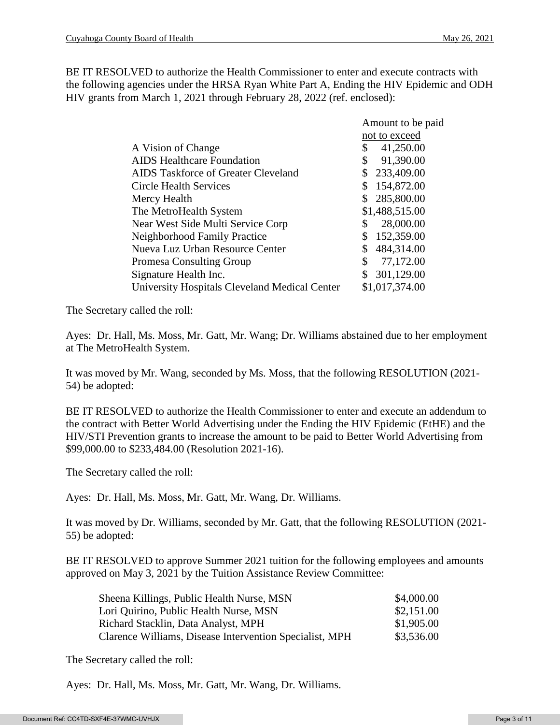BE IT RESOLVED to authorize the Health Commissioner to enter and execute contracts with the following agencies under the HRSA Ryan White Part A, Ending the HIV Epidemic and ODH HIV grants from March 1, 2021 through February 28, 2022 (ref. enclosed):

|                                               | Amount to be paid |
|-----------------------------------------------|-------------------|
|                                               | not to exceed     |
| A Vision of Change                            | 41,250.00<br>\$   |
| <b>AIDS</b> Healthcare Foundation             | \$<br>91,390.00   |
| <b>AIDS Taskforce of Greater Cleveland</b>    | 233,409.00<br>\$  |
| <b>Circle Health Services</b>                 | 154,872.00<br>\$  |
| Mercy Health                                  | 285,800.00<br>\$  |
| The MetroHealth System                        | \$1,488,515.00    |
| Near West Side Multi Service Corp             | 28,000.00<br>\$   |
| <b>Neighborhood Family Practice</b>           | \$<br>152,359.00  |
| Nueva Luz Urban Resource Center               | 484,314.00<br>\$  |
| <b>Promesa Consulting Group</b>               | \$<br>77,172.00   |
| Signature Health Inc.                         | \$<br>301,129.00  |
| University Hospitals Cleveland Medical Center | \$1,017,374.00    |
|                                               |                   |

The Secretary called the roll:

Ayes: Dr. Hall, Ms. Moss, Mr. Gatt, Mr. Wang; Dr. Williams abstained due to her employment at The MetroHealth System.

It was moved by Mr. Wang, seconded by Ms. Moss, that the following RESOLUTION (2021- 54) be adopted:

BE IT RESOLVED to authorize the Health Commissioner to enter and execute an addendum to the contract with Better World Advertising under the Ending the HIV Epidemic (EtHE) and the HIV/STI Prevention grants to increase the amount to be paid to Better World Advertising from \$99,000.00 to \$233,484.00 (Resolution 2021-16).

The Secretary called the roll:

Ayes: Dr. Hall, Ms. Moss, Mr. Gatt, Mr. Wang, Dr. Williams.

It was moved by Dr. Williams, seconded by Mr. Gatt, that the following RESOLUTION (2021- 55) be adopted:

BE IT RESOLVED to approve Summer 2021 tuition for the following employees and amounts approved on May 3, 2021 by the Tuition Assistance Review Committee:

| Sheena Killings, Public Health Nurse, MSN               | \$4,000.00 |
|---------------------------------------------------------|------------|
| Lori Quirino, Public Health Nurse, MSN                  | \$2,151.00 |
| Richard Stacklin, Data Analyst, MPH                     | \$1,905.00 |
| Clarence Williams, Disease Intervention Specialist, MPH | \$3,536.00 |

The Secretary called the roll:

Ayes: Dr. Hall, Ms. Moss, Mr. Gatt, Mr. Wang, Dr. Williams.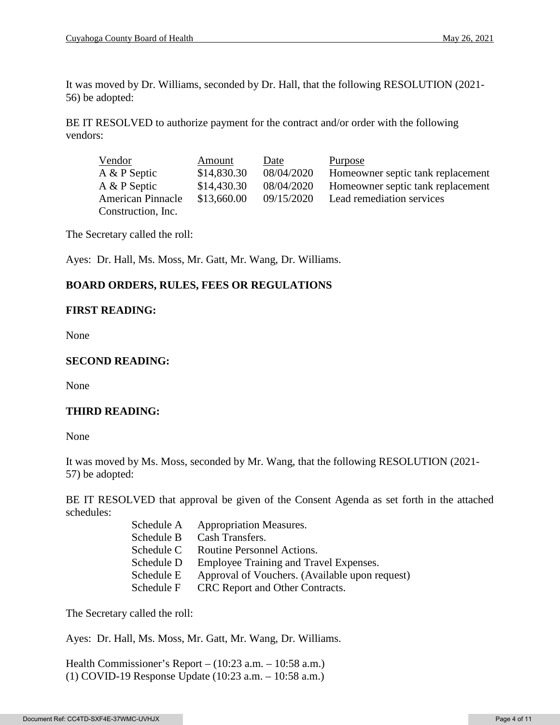It was moved by Dr. Williams, seconded by Dr. Hall, that the following RESOLUTION (2021- 56) be adopted:

BE IT RESOLVED to authorize payment for the contract and/or order with the following vendors:

| Vendor                   | Amount      | Date       | Purpose                           |
|--------------------------|-------------|------------|-----------------------------------|
| A & P Septic             | \$14,830.30 | 08/04/2020 | Homeowner septic tank replacement |
| A & P Septic             | \$14,430.30 | 08/04/2020 | Homeowner septic tank replacement |
| <b>American Pinnacle</b> | \$13,660.00 | 09/15/2020 | Lead remediation services         |
| Construction, Inc.       |             |            |                                   |

The Secretary called the roll:

Ayes: Dr. Hall, Ms. Moss, Mr. Gatt, Mr. Wang, Dr. Williams.

# **BOARD ORDERS, RULES, FEES OR REGULATIONS**

#### **FIRST READING:**

None

#### **SECOND READING:**

None

## **THIRD READING:**

None

It was moved by Ms. Moss, seconded by Mr. Wang, that the following RESOLUTION (2021- 57) be adopted:

BE IT RESOLVED that approval be given of the Consent Agenda as set forth in the attached schedules:

| Schedule A | <b>Appropriation Measures.</b>                 |
|------------|------------------------------------------------|
| Schedule B | Cash Transfers.                                |
| Schedule C | Routine Personnel Actions.                     |
| Schedule D | Employee Training and Travel Expenses.         |
| Schedule E | Approval of Vouchers. (Available upon request) |
| Schedule F | CRC Report and Other Contracts.                |
|            |                                                |

The Secretary called the roll:

Ayes: Dr. Hall, Ms. Moss, Mr. Gatt, Mr. Wang, Dr. Williams.

Health Commissioner's Report – (10:23 a.m. – 10:58 a.m.) (1) COVID-19 Response Update (10:23 a.m. – 10:58 a.m.)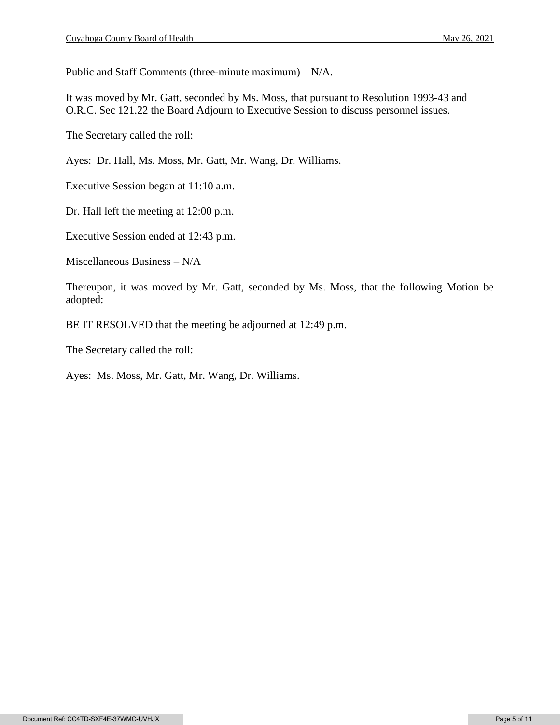Public and Staff Comments (three-minute maximum) – N/A.

It was moved by Mr. Gatt, seconded by Ms. Moss, that pursuant to Resolution 1993-43 and O.R.C. Sec 121.22 the Board Adjourn to Executive Session to discuss personnel issues.

The Secretary called the roll:

Ayes: Dr. Hall, Ms. Moss, Mr. Gatt, Mr. Wang, Dr. Williams.

Executive Session began at 11:10 a.m.

Dr. Hall left the meeting at 12:00 p.m.

Executive Session ended at 12:43 p.m.

Miscellaneous Business – N/A

Thereupon, it was moved by Mr. Gatt, seconded by Ms. Moss, that the following Motion be adopted:

BE IT RESOLVED that the meeting be adjourned at 12:49 p.m.

The Secretary called the roll:

Ayes: Ms. Moss, Mr. Gatt, Mr. Wang, Dr. Williams.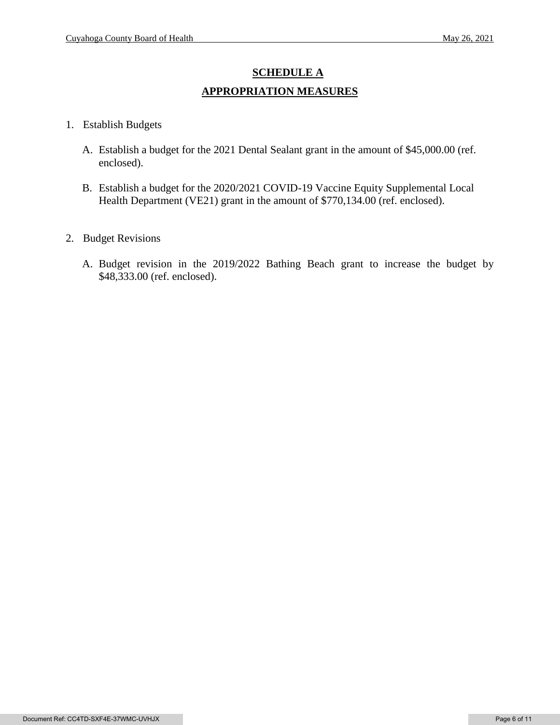# **SCHEDULE A APPROPRIATION MEASURES**

- 1. Establish Budgets
	- A. Establish a budget for the 2021 Dental Sealant grant in the amount of \$45,000.00 (ref. enclosed).
	- B. Establish a budget for the 2020/2021 COVID-19 Vaccine Equity Supplemental Local Health Department (VE21) grant in the amount of \$770,134.00 (ref. enclosed).
- 2. Budget Revisions
	- A. Budget revision in the 2019/2022 Bathing Beach grant to increase the budget by \$48,333.00 (ref. enclosed).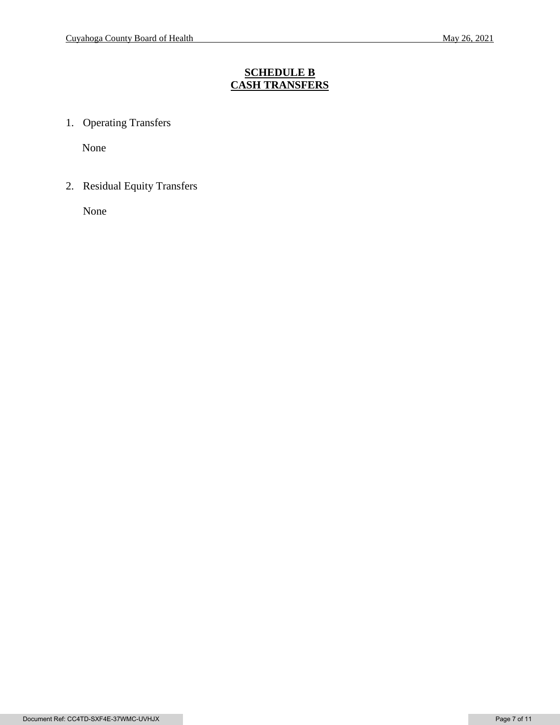# **SCHEDULE B CASH TRANSFERS**

1. Operating Transfers

None

2. Residual Equity Transfers

None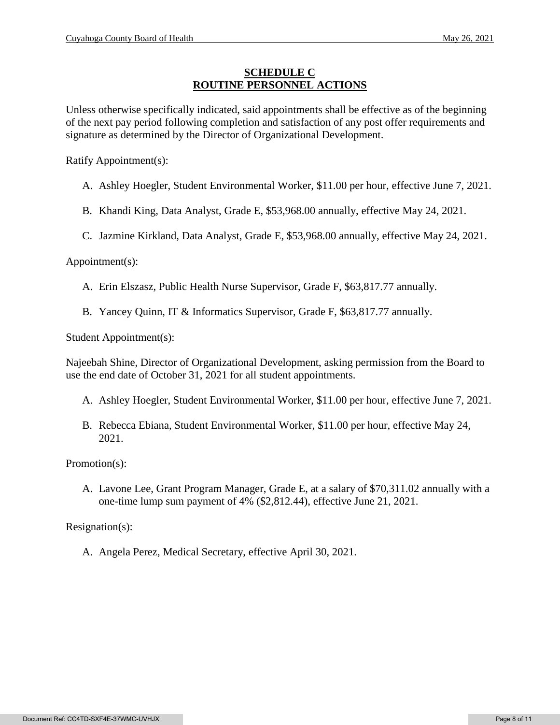#### **SCHEDULE C ROUTINE PERSONNEL ACTIONS**

Unless otherwise specifically indicated, said appointments shall be effective as of the beginning of the next pay period following completion and satisfaction of any post offer requirements and signature as determined by the Director of Organizational Development.

Ratify Appointment(s):

- A. Ashley Hoegler, Student Environmental Worker, \$11.00 per hour, effective June 7, 2021.
- B. Khandi King, Data Analyst, Grade E, \$53,968.00 annually, effective May 24, 2021.
- C. Jazmine Kirkland, Data Analyst, Grade E, \$53,968.00 annually, effective May 24, 2021.

Appointment(s):

- A. Erin Elszasz, Public Health Nurse Supervisor, Grade F, \$63,817.77 annually.
- B. Yancey Quinn, IT & Informatics Supervisor, Grade F, \$63,817.77 annually.

Student Appointment(s):

Najeebah Shine, Director of Organizational Development, asking permission from the Board to use the end date of October 31, 2021 for all student appointments.

- A. Ashley Hoegler, Student Environmental Worker, \$11.00 per hour, effective June 7, 2021.
- B. Rebecca Ebiana, Student Environmental Worker, \$11.00 per hour, effective May 24, 2021.

Promotion(s):

A. Lavone Lee, Grant Program Manager, Grade E, at a salary of \$70,311.02 annually with a one-time lump sum payment of 4% (\$2,812.44), effective June 21, 2021.

Resignation(s):

A. Angela Perez, Medical Secretary, effective April 30, 2021.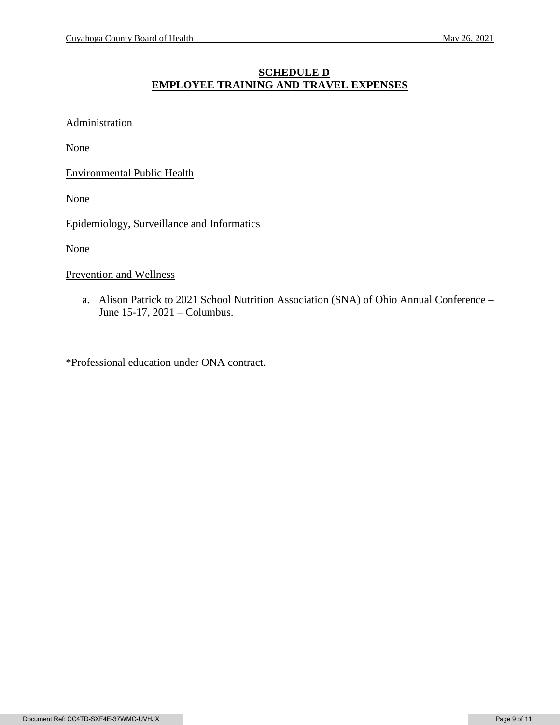## **SCHEDULE D EMPLOYEE TRAINING AND TRAVEL EXPENSES**

# **Administration**

None

Environmental Public Health

None

Epidemiology, Surveillance and Informatics

None

Prevention and Wellness

a. Alison Patrick to 2021 School Nutrition Association (SNA) of Ohio Annual Conference – June 15-17, 2021 – Columbus.

\*Professional education under ONA contract.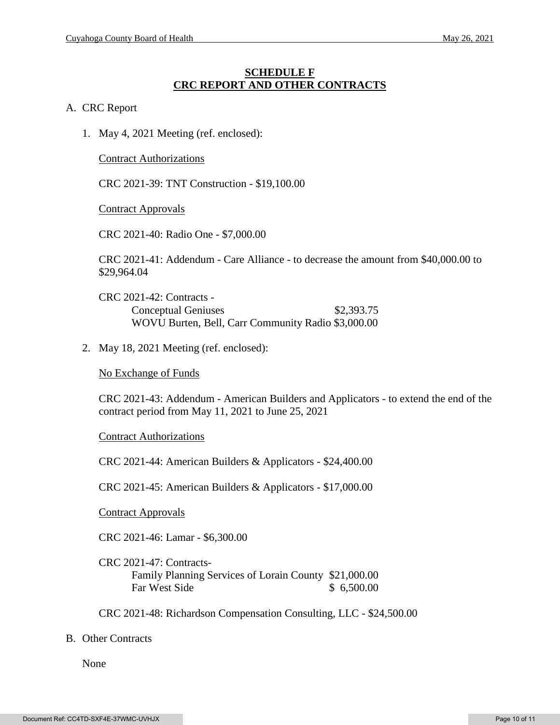#### **SCHEDULE F CRC REPORT AND OTHER CONTRACTS**

#### A. CRC Report

1. May 4, 2021 Meeting (ref. enclosed):

Contract Authorizations

CRC 2021-39: TNT Construction - \$19,100.00

Contract Approvals

CRC 2021-40: Radio One - \$7,000.00

CRC 2021-41: Addendum - Care Alliance - to decrease the amount from \$40,000.00 to \$29,964.04

CRC 2021-42: Contracts - Conceptual Geniuses \$2,393.75 WOVU Burten, Bell, Carr Community Radio \$3,000.00

2. May 18, 2021 Meeting (ref. enclosed):

No Exchange of Funds

CRC 2021-43: Addendum - American Builders and Applicators - to extend the end of the contract period from May 11, 2021 to June 25, 2021

Contract Authorizations

CRC 2021-44: American Builders & Applicators - \$24,400.00

CRC 2021-45: American Builders & Applicators - \$17,000.00

Contract Approvals

CRC 2021-46: Lamar - \$6,300.00

CRC 2021-47: Contracts-Family Planning Services of Lorain County \$21,000.00 Far West Side \$ 6,500.00

CRC 2021-48: Richardson Compensation Consulting, LLC - \$24,500.00

#### B. Other Contracts

None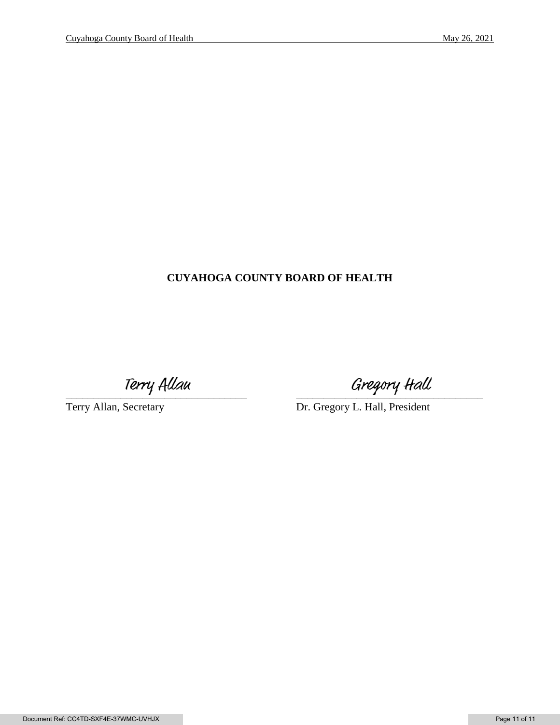# **CUYAHOGA COUNTY BOARD OF HEALTH**

Terry Allau Gregory Hall<br>Terry Allan, Secretary Dr. Gregory L. Hall, President

Dr. Gregory L. Hall, President